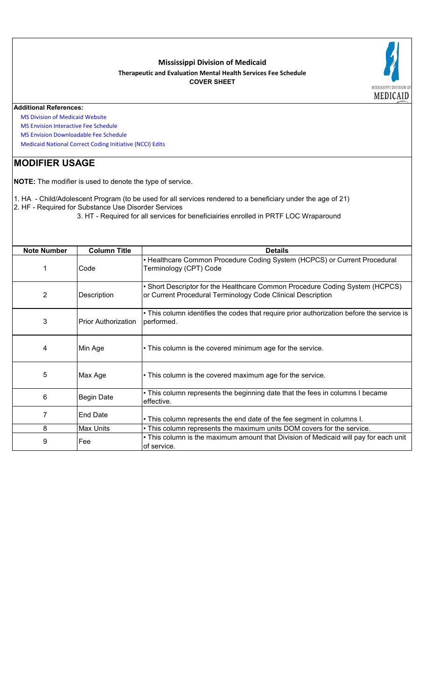## **Mississippi Division of Medicaid Therapeutic and Evaluation Mental Health Services Fee Schedule COVER SHEET**



## **Additional References:**

 [MS Division of Medica](https://medicaid.ms.gov/)id Website

 [MS Envision Interactiv](https://www.ms-medicaid.com/msenvision/feeScheduleInquiry.do)e Fee Schedule

 [MS Envision Download](https://www.ms-medicaid.com/msenvision/AMA_ADA_licenseAgreement.do?strUrl=feeScheduleInquiry)able Fee Schedule

 [Medicaid National Cor](https://www.medicaid.gov/medicaid/program-integrity/national-correct-coding-initiative/medicaid-ncci-edit-files/index.html)rect Coding Initiative (NCCI) Edits

## **MODIFIER USAGE**

**NOTE:** The modifier is used to denote the type of service.

1. HA - Child/Adolescent Program (to be used for all services rendered to a beneficiary under the age of 21) 2. HF - Required for Substance Use Disorder Services

3. HT - Required for all services for beneficiairies enrolled in PRTF LOC Wraparound

| <b>Note Number</b> | <b>Column Title</b>        | <b>Details</b>                                                                                                                              |
|--------------------|----------------------------|---------------------------------------------------------------------------------------------------------------------------------------------|
|                    | Code                       | • Healthcare Common Procedure Coding System (HCPCS) or Current Procedural<br>Terminology (CPT) Code                                         |
| 2                  | Description                | • Short Descriptor for the Healthcare Common Procedure Coding System (HCPCS)<br>or Current Procedural Terminology Code Clinical Description |
| 3                  | <b>Prior Authorization</b> | • This column identifies the codes that require prior authorization before the service is<br>performed.                                     |
| 4                  | Min Age                    | • This column is the covered minimum age for the service.                                                                                   |
| 5                  | Max Age                    | • This column is the covered maximum age for the service.                                                                                   |
| 6                  | <b>Begin Date</b>          | • This column represents the beginning date that the fees in columns I became<br>effective.                                                 |
| 7                  | <b>End Date</b>            | . This column represents the end date of the fee segment in columns I.                                                                      |
| 8                  | <b>Max Units</b>           | . This column represents the maximum units DOM covers for the service.                                                                      |
| 9                  | Fee                        | . This column is the maximum amount that Division of Medicaid will pay for each unit<br>of service.                                         |